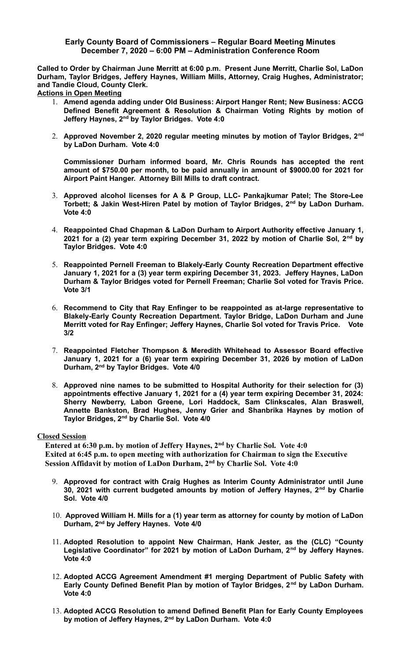## **Early County Board of Commissioners – Regular Board Meeting Minutes December 7, 2020 – 6:00 PM – Administration Conference Room**

**Called to Order by Chairman June Merritt at 6:00 p.m. Present June Merritt, Charlie Sol, LaDon Durham, Taylor Bridges, Jeffery Haynes, William Mills, Attorney, Craig Hughes, Administrator; and Tandie Cloud, County Clerk.** 

**Actions in Open Meeting**

- 1. **Amend agenda adding under Old Business: Airport Hanger Rent; New Business: ACCG Defined Benefit Agreement & Resolution & Chairman Voting Rights by motion of Jeffery Haynes, 2nd by Taylor Bridges. Vote 4:0**
- 2. **Approved November 2, 2020 regular meeting minutes by motion of Taylor Bridges, 2nd by LaDon Durham. Vote 4:0**

**Commissioner Durham informed board, Mr. Chris Rounds has accepted the rent amount of \$750.00 per month, to be paid annually in amount of \$9000.00 for 2021 for Airport Paint Hanger. Attorney Bill Mills to draft contract.**

- 3. **Approved alcohol licenses for A & P Group, LLC- Pankajkumar Patel; The Store-Lee Torbett; & Jakin West-Hiren Patel by motion of Taylor Bridges, 2nd by LaDon Durham. Vote 4:0**
- 4. **Reappointed Chad Chapman & LaDon Durham to Airport Authority effective January 1, 2021 for a (2) year term expiring December 31, 2022 by motion of Charlie Sol, 2nd by Taylor Bridges. Vote 4:0**
- 5. **Reappointed Pernell Freeman to Blakely-Early County Recreation Department effective January 1, 2021 for a (3) year term expiring December 31, 2023. Jeffery Haynes, LaDon Durham & Taylor Bridges voted for Pernell Freeman; Charlie Sol voted for Travis Price. Vote 3/1**
- 6. **Recommend to City that Ray Enfinger to be reappointed as at-large representative to Blakely-Early County Recreation Department. Taylor Bridge, LaDon Durham and June Merritt voted for Ray Enfinger; Jeffery Haynes, Charlie Sol voted for Travis Price. Vote 3/2**
- 7. **Reappointed Fletcher Thompson & Meredith Whitehead to Assessor Board effective January 1, 2021 for a (6) year term expiring December 31, 2026 by motion of LaDon Durham, 2nd by Taylor Bridges. Vote 4/0**
- 8. **Approved nine names to be submitted to Hospital Authority for their selection for (3) appointments effective January 1, 2021 for a (4) year term expiring December 31, 2024: Sherry Newberry, Labon Greene, Lori Haddock, Sam Clinkscales, Alan Braswell, Annette Bankston, Brad Hughes, Jenny Grier and Shanbrika Haynes by motion of Taylor Bridges, 2nd by Charlie Sol. Vote 4/0**

## **Closed Session**

 **Entered at 6:30 p.m. by motion of Jeffery Haynes, 2nd by Charlie Sol. Vote 4:0 Exited at 6:45 p.m. to open meeting with authorization for Chairman to sign the Executive Session Affidavit by motion of LaDon Durham, 2nd by Charlie Sol. Vote 4:0**

- 9. **Approved for contract with Craig Hughes as Interim County Administrator until June 30, 2021 with current budgeted amounts by motion of Jeffery Haynes, 2nd by Charlie Sol. Vote 4/0**
- 10. **Approved William H. Mills for a (1) year term as attorney for county by motion of LaDon Durham, 2nd by Jeffery Haynes. Vote 4/0**
- 11. **Adopted Resolution to appoint New Chairman, Hank Jester, as the (CLC) "County Legislative Coordinator" for 2021 by motion of LaDon Durham, 2nd by Jeffery Haynes. Vote 4:0**
- 12. **Adopted ACCG Agreement Amendment #1 merging Department of Public Safety with Early County Defined Benefit Plan by motion of Taylor Bridges, 2nd by LaDon Durham. Vote 4:0**
- 13. **Adopted ACCG Resolution to amend Defined Benefit Plan for Early County Employees by motion of Jeffery Haynes, 2nd by LaDon Durham. Vote 4:0**